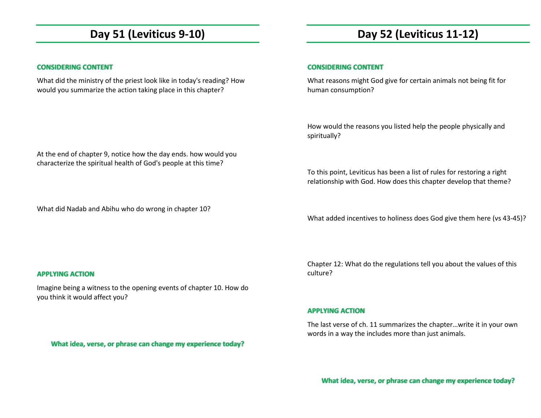## **Day 51 (Leviticus 9-10)**

#### **CONSIDERING CONTENT**

What did the ministry of the priest look like in today's reading? How would you summarize the action taking place in this chapter?

# **Day 52 (Leviticus 11-12)**

#### **CONSIDERING CONTENT**

What reasons might God give for certain animals not being fit for human consumption?

How would the reasons you listed help the people physically and spiritually?

To this point, Leviticus has been a list of rules for restoring a right relationship with God. How does this chapter develop that theme?

What added incentives to holiness does God give them here (vs 43-45)?

**APPLYING ACTION** 

Imagine being a witness to the opening events of chapter 10. How do you think it would affect you?

Chapter 12: What do the regulations tell you about the values of this culture?

#### **APPLYING ACTION**

The last verse of ch. 11 summarizes the chapter…write it in your own words in a way the includes more than just animals.

**What idea, verse, or phrase can change my experience today?** 

At the end of chapter 9, notice how the day ends. how would you characterize the spiritual health of God's people at this time?

What did Nadab and Abihu who do wrong in chapter 10?

**What idea, verse, or phrase can change my experience today?**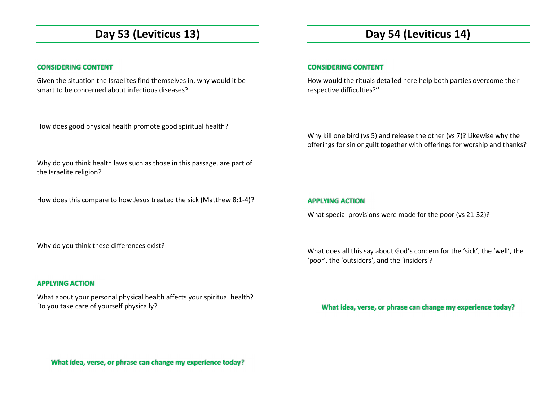## **Day 53 (Leviticus 13)**

#### **CONSIDERING CONTENT**

Given the situation the Israelites find themselves in, why would it be smart to be concerned about infectious diseases?

How does good physical health promote good spiritual health?

Why do you think health laws such as those in this passage, are part of the Israelite religion?

How does this compare to how Jesus treated the sick (Matthew 8:1-4)?

Why do you think these differences exist?

#### **APPLYING ACTION**

What about your personal physical health affects your spiritual health? Do you take care of yourself physically?

**What idea, verse, or phrase can change my experience today?** 

# **Day 54 (Leviticus 14)**

#### **CONSIDERING CONTENT**

How would the rituals detailed here help both parties overcome their respective difficulties?''

Why kill one bird (vs 5) and release the other (vs 7)? Likewise why the offerings for sin or guilt together with offerings for worship and thanks?

#### **APPLYING ACTION**

What special provisions were made for the poor (vs 21-32)?

What does all this say about God's concern for the 'sick', the 'well', the 'poor', the 'outsiders', and the 'insiders'?

**What idea, verse, or phrase can change my experience today?**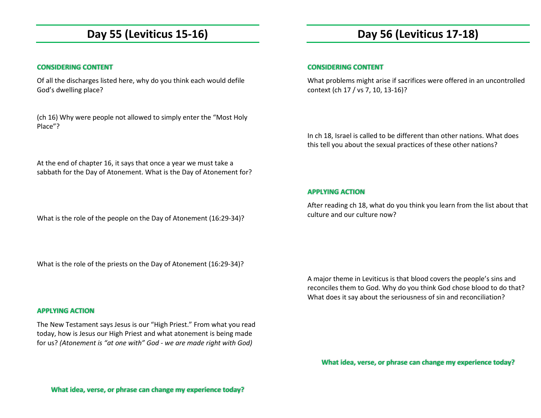## **Day 55 (Leviticus 15-16)**

#### **CONSIDERING CONTENT**

Of all the discharges listed here, why do you think each would defile God's dwelling place?

(ch 16) Why were people not allowed to simply enter the "Most Holy Place"?

# **Day 56 (Leviticus 17-18)**

#### **CONSIDERING CONTENT**

**APPLYING ACTION** 

culture and our culture now?

What problems might arise if sacrifices were offered in an uncontrolled context (ch 17 / vs 7, 10, 13-16)?

In ch 18, Israel is called to be different than other nations. What does this tell you about the sexual practices of these other nations?

At the end of chapter 16, it says that once a year we must take a sabbath for the Day of Atonement. What is the Day of Atonement for?

What is the role of the people on the Day of Atonement (16:29-34)?

What is the role of the priests on the Day of Atonement (16:29-34)?

**APPLYING ACTION** 

The New Testament says Jesus is our "High Priest." From what you read today, how is Jesus our High Priest and what atonement is being made for us? *(Atonement is "at one with" God - we are made right with God)*

A major theme in Leviticus is that blood covers the people's sins and reconciles them to God. Why do you think God chose blood to do that? What does it say about the seriousness of sin and reconciliation?

After reading ch 18, what do you think you learn from the list about that

**What idea, verse, or phrase can change my experience today?** 

**What idea, verse, or phrase can change my experience today?**